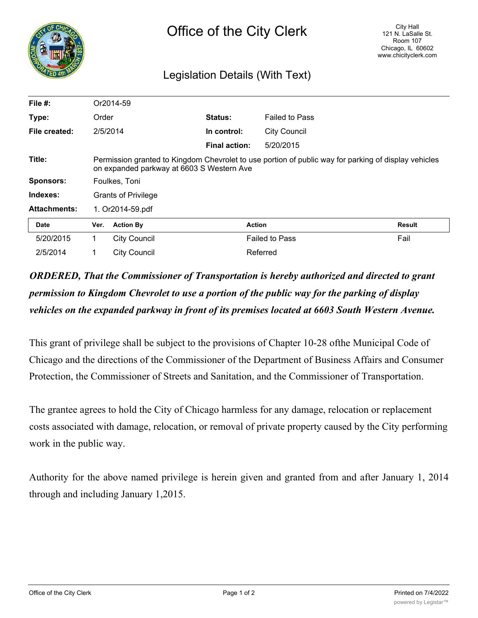

## Legislation Details (With Text)

| File $#$ :          |                                                                                                                                                   | Or2014-59           |                      |                       |        |
|---------------------|---------------------------------------------------------------------------------------------------------------------------------------------------|---------------------|----------------------|-----------------------|--------|
| Type:               | Order                                                                                                                                             |                     | <b>Status:</b>       | <b>Failed to Pass</b> |        |
| File created:       | 2/5/2014                                                                                                                                          |                     | In control:          | <b>City Council</b>   |        |
|                     |                                                                                                                                                   |                     | <b>Final action:</b> | 5/20/2015             |        |
| Title:              | Permission granted to Kingdom Chevrolet to use portion of public way for parking of display vehicles<br>on expanded parkway at 6603 S Western Ave |                     |                      |                       |        |
| <b>Sponsors:</b>    | Foulkes, Toni                                                                                                                                     |                     |                      |                       |        |
| Indexes:            | <b>Grants of Privilege</b>                                                                                                                        |                     |                      |                       |        |
| <b>Attachments:</b> | 1. Or2014-59.pdf                                                                                                                                  |                     |                      |                       |        |
| <b>Date</b>         | Ver.                                                                                                                                              | <b>Action By</b>    | <b>Action</b>        |                       | Result |
| 5/20/2015           | 1.                                                                                                                                                | <b>City Council</b> |                      | <b>Failed to Pass</b> | Fail   |
| 2/5/2014            |                                                                                                                                                   | <b>City Council</b> |                      | Referred              |        |

## *ORDERED, That the Commissioner of Transportation is hereby authorized and directed to grant permission to Kingdom Chevrolet to use a portion of the public way for the parking of display vehicles on the expanded parkway in front of its premises located at 6603 South Western Avenue.*

This grant of privilege shall be subject to the provisions of Chapter 10-28 ofthe Municipal Code of Chicago and the directions of the Commissioner of the Department of Business Affairs and Consumer Protection, the Commissioner of Streets and Sanitation, and the Commissioner of Transportation.

The grantee agrees to hold the City of Chicago harmless for any damage, relocation or replacement costs associated with damage, relocation, or removal of private property caused by the City performing work in the public way.

Authority for the above named privilege is herein given and granted from and after January 1, 2014 through and including January 1,2015.